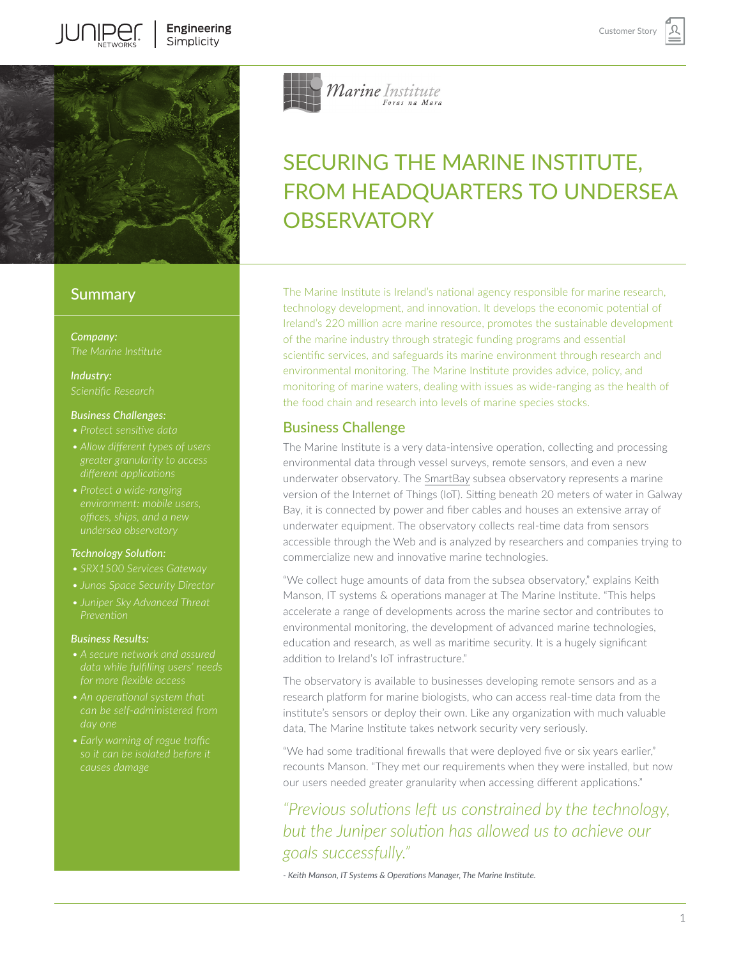

# **Summary**

*Company:*

*Industry:*

### *Business Challenges:*

- 
- 
- *• Protect a wide-ranging*

### *Technology Solution:*

- 
- 
- *• [Juniper Sky Advanced Threat](http://www.juniper.net/uk/en/products-services/security/sky-advanced-threat-prevention/)*

### *Business Results:*

- *data while fulfilling users' needs*
- 
- 



# SECURING THE MARINE INSTITUTE, FROM HEADQUARTERS TO UNDERSEA **OBSERVATORY**

The Marine Institute is Ireland's national agency responsible for marine research, technology development, and innovation. It develops the economic potential of Ireland's 220 million acre marine resource, promotes the sustainable development of the marine industry through strategic funding programs and essential scientific services, and safeguards its marine environment through research and environmental monitoring. The Marine Institute provides advice, policy, and monitoring of marine waters, dealing with issues as wide-ranging as the health of the food chain and research into levels of marine species stocks.

# Business Challenge

The Marine Institute is a very data-intensive operation, collecting and processing environmental data through vessel surveys, remote sensors, and even a new underwater observatory. The [SmartBay](https://www.marine.ie/Home/site-area/news-events/press-releases/smartbay-subsea-observatory-galway-coast-goes-live) subsea observatory represents a marine version of the Internet of Things (IoT). Sitting beneath 20 meters of water in Galway Bay, it is connected by power and fiber cables and houses an extensive array of underwater equipment. The observatory collects real-time data from sensors accessible through the Web and is analyzed by researchers and companies trying to commercialize new and innovative marine technologies.

"We collect huge amounts of data from the subsea observatory," explains Keith Manson, IT systems & operations manager at The Marine Institute. "This helps accelerate a range of developments across the marine sector and contributes to environmental monitoring, the development of advanced marine technologies, education and research, as well as maritime security. It is a hugely significant addition to Ireland's IoT infrastructure."

The observatory is available to businesses developing remote sensors and as a research platform for marine biologists, who can access real-time data from the institute's sensors or deploy their own. Like any organization with much valuable data, The Marine Institute takes network security very seriously.

"We had some traditional firewalls that were deployed five or six years earlier," recounts Manson. "They met our requirements when they were installed, but now our users needed greater granularity when accessing different applications."

# *"Previous solutions left us constrained by the technology, but the Juniper solution has allowed us to achieve our goals successfully."*

*- Keith Manson, IT Systems & Operations Manager, The Marine Institute.*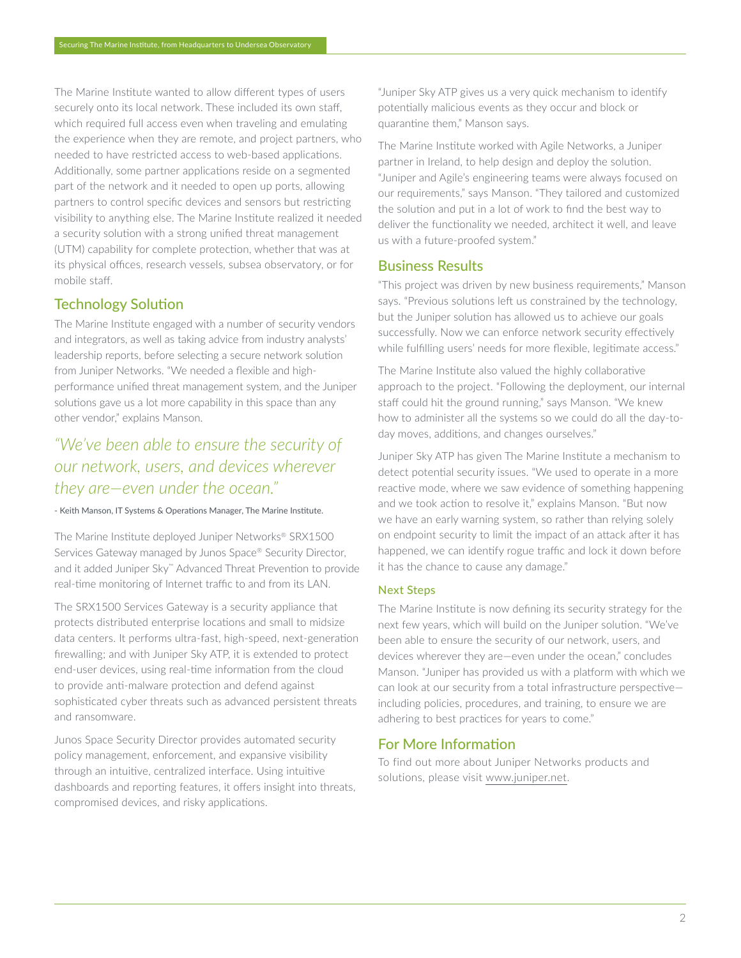The Marine Institute wanted to allow different types of users securely onto its local network. These included its own staff, which required full access even when traveling and emulating the experience when they are remote, and project partners, who needed to have restricted access to web-based applications. Additionally, some partner applications reside on a segmented part of the network and it needed to open up ports, allowing partners to control specific devices and sensors but restricting visibility to anything else. The Marine Institute realized it needed a security solution with a strong unified threat management (UTM) capability for complete protection, whether that was at its physical offices, research vessels, subsea observatory, or for mobile staff.

# Technology Solution

The Marine Institute engaged with a number of security vendors and integrators, as well as taking advice from industry analysts' leadership reports, before selecting a secure network solution from Juniper Networks. "We needed a flexible and highperformance unified threat management system, and the Juniper solutions gave us a lot more capability in this space than any other vendor," explains Manson.

# *"We've been able to ensure the security of our network, users, and devices wherever they are—even under the ocean."*

#### - Keith Manson, IT Systems & Operations Manager, The Marine Institute.

The Marine Institute deployed Juniper Networks® SRX1500 Services Gateway managed by Junos Space® Security Director, and it added Juniper Sky™ Advanced Threat Prevention to provide real-time monitoring of Internet traffic to and from its LAN.

The SRX1500 Services Gateway is a security appliance that protects distributed enterprise locations and small to midsize data centers. It performs ultra-fast, high-speed, next-generation firewalling; and with Juniper Sky ATP, it is extended to protect end-user devices, using real-time information from the cloud to provide anti-malware protection and defend against sophisticated cyber threats such as advanced persistent threats and ransomware.

Junos Space Security Director provides automated security policy management, enforcement, and expansive visibility through an intuitive, centralized interface. Using intuitive dashboards and reporting features, it offers insight into threats, compromised devices, and risky applications.

"Juniper Sky ATP gives us a very quick mechanism to identify potentially malicious events as they occur and block or quarantine them," Manson says.

The Marine Institute worked with Agile Networks, a Juniper partner in Ireland, to help design and deploy the solution. "Juniper and Agile's engineering teams were always focused on our requirements," says Manson. "They tailored and customized the solution and put in a lot of work to find the best way to deliver the functionality we needed, architect it well, and leave us with a future-proofed system."

## Business Results

"This project was driven by new business requirements," Manson says. "Previous solutions left us constrained by the technology, but the Juniper solution has allowed us to achieve our goals successfully. Now we can enforce network security effectively while fulfilling users' needs for more flexible, legitimate access."

The Marine Institute also valued the highly collaborative approach to the project. "Following the deployment, our internal staff could hit the ground running," says Manson. "We knew how to administer all the systems so we could do all the day-today moves, additions, and changes ourselves."

Juniper Sky ATP has given The Marine Institute a mechanism to detect potential security issues. "We used to operate in a more reactive mode, where we saw evidence of something happening and we took action to resolve it," explains Manson. "But now we have an early warning system, so rather than relying solely on endpoint security to limit the impact of an attack after it has happened, we can identify rogue traffic and lock it down before it has the chance to cause any damage."

### Next Steps

The Marine Institute is now defining its security strategy for the next few years, which will build on the Juniper solution. "We've been able to ensure the security of our network, users, and devices wherever they are—even under the ocean," concludes Manson. "Juniper has provided us with a platform with which we can look at our security from a total infrastructure perspective including policies, procedures, and training, to ensure we are adhering to best practices for years to come."

### For More Information

To find out more about Juniper Networks products and solutions, please visit [www.juniper.net.](http://www.juniper.net)